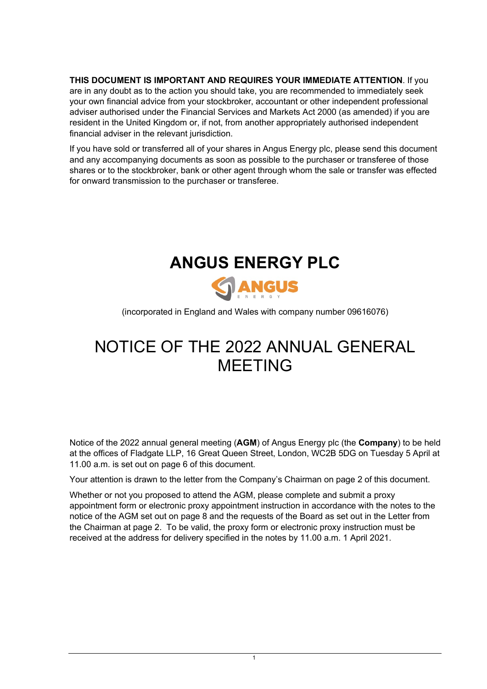**THIS DOCUMENT IS IMPORTANT AND REQUIRES YOUR IMMEDIATE ATTENTION**. If you are in any doubt as to the action you should take, you are recommended to immediately seek your own financial advice from your stockbroker, accountant or other independent professional adviser authorised under the Financial Services and Markets Act 2000 (as amended) if you are resident in the United Kingdom or, if not, from another appropriately authorised independent financial adviser in the relevant jurisdiction.

If you have sold or transferred all of your shares in Angus Energy plc, please send this document and any accompanying documents as soon as possible to the purchaser or transferee of those shares or to the stockbroker, bank or other agent through whom the sale or transfer was effected for onward transmission to the purchaser or transferee.



(incorporated in England and Wales with company number 09616076)

## NOTICE OF THE 2022 ANNUAL GENERAL MEETING

Notice of the 2022 annual general meeting (**AGM**) of Angus Energy plc (the **Company**) to be held at the offices of Fladgate LLP, 16 Great Queen Street, London, WC2B 5DG on Tuesday 5 April at 11.00 a.m. is set out on page [6](#page-5-0) of this document.

Your attention is drawn to the letter from the Company's Chairman on page [2](#page-1-0) of this document.

Whether or not you proposed to attend the AGM, please complete and submit a proxy appointment form or electronic proxy appointment instruction in accordance with the notes to the notice of the AGM set out on page [8](#page-7-0) and the requests of the Board as set out in the Letter from the Chairman at page [2.](#page-1-0) To be valid, the proxy form or electronic proxy instruction must be received at the address for delivery specified in the notes by 11.00 a.m. 1 April 2021.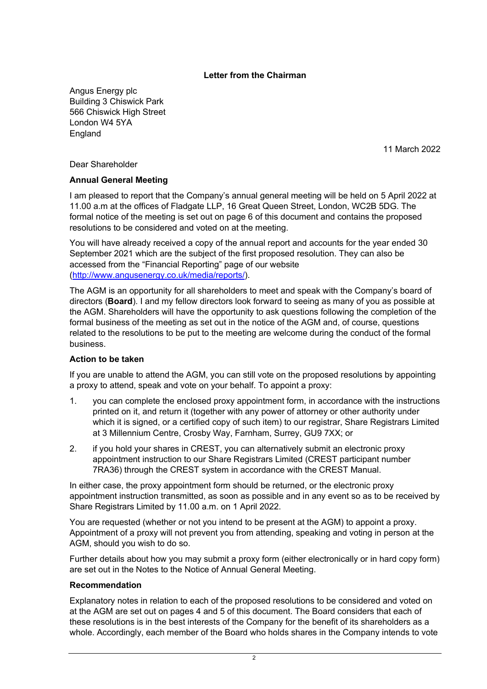## **Letter from the Chairman**

<span id="page-1-0"></span>Angus Energy plc Building 3 Chiswick Park 566 Chiswick High Street London W4 5YA **England** 

11 March 2022

Dear Shareholder

#### **Annual General Meeting**

I am pleased to report that the Company's annual general meeting will be held on 5 April 2022 at 11.00 a.m at the offices of Fladgate LLP, 16 Great Queen Street, London, WC2B 5DG. The formal notice of the meeting is set out on page 6 of this document and contains the proposed resolutions to be considered and voted on at the meeting.

You will have already received a copy of the annual report and accounts for the year ended 30 September 2021 which are the subject of the first proposed resolution. They can also be accessed from the "Financial Reporting" page of our website [\(http://www.angusenergy.co.uk/media/reports/\)](http://www.angusenergy.co.uk/media/reports/).

The AGM is an opportunity for all shareholders to meet and speak with the Company's board of directors (**Board**). I and my fellow directors look forward to seeing as many of you as possible at the AGM. Shareholders will have the opportunity to ask questions following the completion of the formal business of the meeting as set out in the notice of the AGM and, of course, questions related to the resolutions to be put to the meeting are welcome during the conduct of the formal business.

#### **Action to be taken**

If you are unable to attend the AGM, you can still vote on the proposed resolutions by appointing a proxy to attend, speak and vote on your behalf. To appoint a proxy:

- 1. you can complete the enclosed proxy appointment form, in accordance with the instructions printed on it, and return it (together with any power of attorney or other authority under which it is signed, or a certified copy of such item) to our registrar, Share Registrars Limited at 3 Millennium Centre, Crosby Way, Farnham, Surrey, GU9 7XX; or
- 2. if you hold your shares in CREST, you can alternatively submit an electronic proxy appointment instruction to our Share Registrars Limited (CREST participant number 7RA36) through the CREST system in accordance with the CREST Manual.

In either case, the proxy appointment form should be returned, or the electronic proxy appointment instruction transmitted, as soon as possible and in any event so as to be received by Share Registrars Limited by 11.00 a.m. on 1 April 2022.

You are requested (whether or not you intend to be present at the AGM) to appoint a proxy. Appointment of a proxy will not prevent you from attending, speaking and voting in person at the AGM, should you wish to do so.

Further details about how you may submit a proxy form (either electronically or in hard copy form) are set out in the Notes to the Notice of Annual General Meeting.

#### **Recommendation**

Explanatory notes in relation to each of the proposed resolutions to be considered and voted on at the AGM are set out on pages 4 and 5 of this document. The Board considers that each of these resolutions is in the best interests of the Company for the benefit of its shareholders as a whole. Accordingly, each member of the Board who holds shares in the Company intends to vote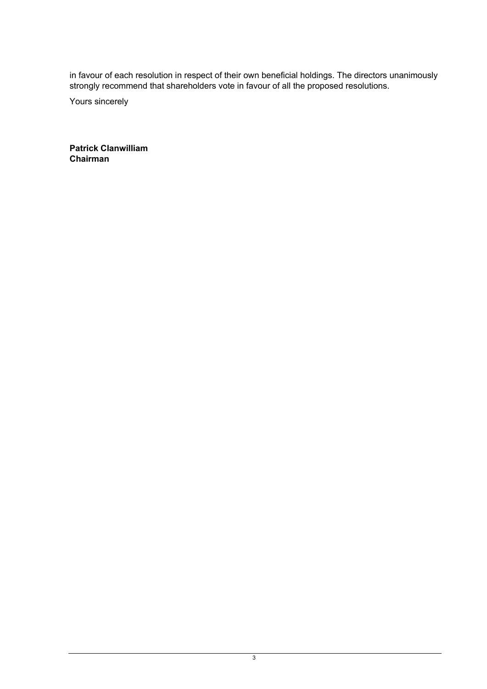in favour of each resolution in respect of their own beneficial holdings. The directors unanimously strongly recommend that shareholders vote in favour of all the proposed resolutions.

Yours sincerely

**Patrick Clanwilliam Chairman**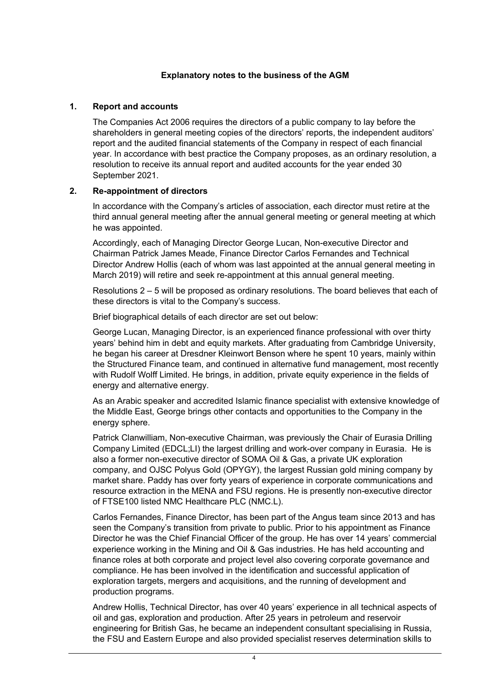#### **Explanatory notes to the business of the AGM**

#### **1. Report and accounts**

The Companies Act 2006 requires the directors of a public company to lay before the shareholders in general meeting copies of the directors' reports, the independent auditors' report and the audited financial statements of the Company in respect of each financial year. In accordance with best practice the Company proposes, as an ordinary resolution, a resolution to receive its annual report and audited accounts for the year ended 30 September 2021.

#### **2. Re-appointment of directors**

In accordance with the Company's articles of association, each director must retire at the third annual general meeting after the annual general meeting or general meeting at which he was appointed.

Accordingly, each of Managing Director George Lucan, Non-executive Director and Chairman Patrick James Meade, Finance Director Carlos Fernandes and Technical Director Andrew Hollis (each of whom was last appointed at the annual general meeting in March 2019) will retire and seek re-appointment at this annual general meeting.

Resolutions 2 – 5 will be proposed as ordinary resolutions. The board believes that each of these directors is vital to the Company's success.

Brief biographical details of each director are set out below:

George Lucan, Managing Director, is an experienced finance professional with over thirty years' behind him in debt and equity markets. After graduating from Cambridge University, he began his career at Dresdner Kleinwort Benson where he spent 10 years, mainly within the Structured Finance team, and continued in alternative fund management, most recently with Rudolf Wolff Limited. He brings, in addition, private equity experience in the fields of energy and alternative energy.

As an Arabic speaker and accredited Islamic finance specialist with extensive knowledge of the Middle East, George brings other contacts and opportunities to the Company in the energy sphere.

Patrick Clanwilliam, Non-executive Chairman, was previously the Chair of Eurasia Drilling Company Limited (EDCL;LI) the largest drilling and work-over company in Eurasia. He is also a former non-executive director of SOMA Oil & Gas, a private UK exploration company, and OJSC Polyus Gold (OPYGY), the largest Russian gold mining company by market share. Paddy has over forty years of experience in corporate communications and resource extraction in the MENA and FSU regions. He is presently non-executive director of FTSE100 listed NMC Healthcare PLC (NMC.L).

Carlos Fernandes, Finance Director, has been part of the Angus team since 2013 and has seen the Company's transition from private to public. Prior to his appointment as Finance Director he was the Chief Financial Officer of the group. He has over 14 years' commercial experience working in the Mining and Oil & Gas industries. He has held accounting and finance roles at both corporate and project level also covering corporate governance and compliance. He has been involved in the identification and successful application of exploration targets, mergers and acquisitions, and the running of development and production programs.

Andrew Hollis, Technical Director, has over 40 years' experience in all technical aspects of oil and gas, exploration and production. After 25 years in petroleum and reservoir engineering for British Gas, he became an independent consultant specialising in Russia, the FSU and Eastern Europe and also provided specialist reserves determination skills to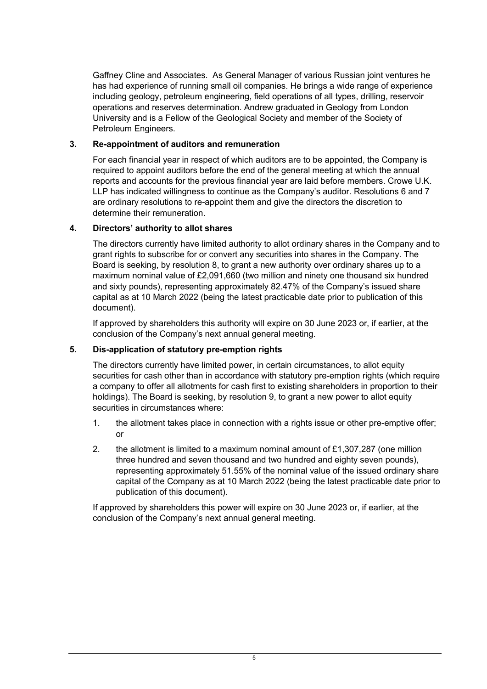Gaffney Cline and Associates. As General Manager of various Russian joint ventures he has had experience of running small oil companies. He brings a wide range of experience including geology, petroleum engineering, field operations of all types, drilling, reservoir operations and reserves determination. Andrew graduated in Geology from London University and is a Fellow of the Geological Society and member of the Society of Petroleum Engineers.

## **3. Re-appointment of auditors and remuneration**

For each financial year in respect of which auditors are to be appointed, the Company is required to appoint auditors before the end of the general meeting at which the annual reports and accounts for the previous financial year are laid before members. Crowe U.K. LLP has indicated willingness to continue as the Company's auditor. Resolutions 6 and 7 are ordinary resolutions to re-appoint them and give the directors the discretion to determine their remuneration.

## **4. Directors' authority to allot shares**

The directors currently have limited authority to allot ordinary shares in the Company and to grant rights to subscribe for or convert any securities into shares in the Company. The Board is seeking, by resolution 8, to grant a new authority over ordinary shares up to a maximum nominal value of £2,091,660 (two million and ninety one thousand six hundred and sixty pounds), representing approximately 82.47% of the Company's issued share capital as at 10 March 2022 (being the latest practicable date prior to publication of this document).

If approved by shareholders this authority will expire on 30 June 2023 or, if earlier, at the conclusion of the Company's next annual general meeting.

## **5. Dis-application of statutory pre-emption rights**

The directors currently have limited power, in certain circumstances, to allot equity securities for cash other than in accordance with statutory pre-emption rights (which require a company to offer all allotments for cash first to existing shareholders in proportion to their holdings). The Board is seeking, by resolution 9, to grant a new power to allot equity securities in circumstances where:

- 1. the allotment takes place in connection with a rights issue or other pre-emptive offer; or
- 2. the allotment is limited to a maximum nominal amount of £1,307,287 (one million three hundred and seven thousand and two hundred and eighty seven pounds), representing approximately 51.55% of the nominal value of the issued ordinary share capital of the Company as at 10 March 2022 (being the latest practicable date prior to publication of this document).

If approved by shareholders this power will expire on 30 June 2023 or, if earlier, at the conclusion of the Company's next annual general meeting.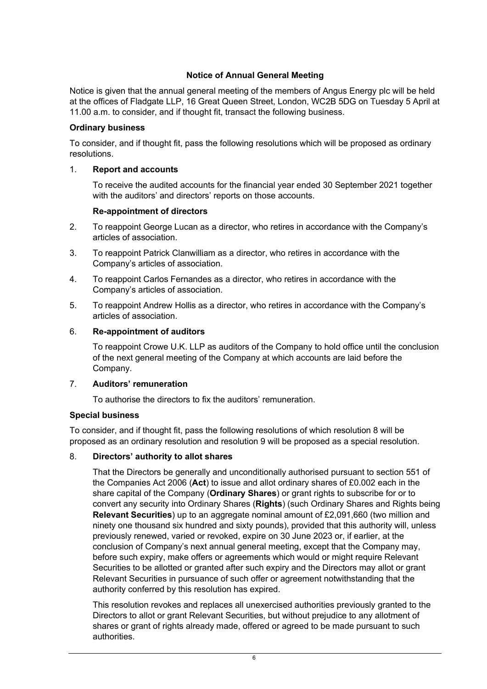## **Notice of Annual General Meeting**

<span id="page-5-0"></span>Notice is given that the annual general meeting of the members of Angus Energy plc will be held at the offices of Fladgate LLP, 16 Great Queen Street, London, WC2B 5DG on Tuesday 5 April at 11.00 a.m. to consider, and if thought fit, transact the following business.

#### **Ordinary business**

To consider, and if thought fit, pass the following resolutions which will be proposed as ordinary resolutions.

#### 1. **Report and accounts**

To receive the audited accounts for the financial year ended 30 September 2021 together with the auditors' and directors' reports on those accounts.

#### **Re-appointment of directors**

- 2. To reappoint George Lucan as a director, who retires in accordance with the Company's articles of association.
- 3. To reappoint Patrick Clanwilliam as a director, who retires in accordance with the Company's articles of association.
- 4. To reappoint Carlos Fernandes as a director, who retires in accordance with the Company's articles of association.
- 5. To reappoint Andrew Hollis as a director, who retires in accordance with the Company's articles of association.

#### 6. **Re-appointment of auditors**

To reappoint Crowe U.K. LLP as auditors of the Company to hold office until the conclusion of the next general meeting of the Company at which accounts are laid before the Company.

#### 7. **Auditors' remuneration**

To authorise the directors to fix the auditors' remuneration.

#### **Special business**

To consider, and if thought fit, pass the following resolutions of which resolution 8 will be proposed as an ordinary resolution and resolution 9 will be proposed as a special resolution.

## 8. **Directors' authority to allot shares**

That the Directors be generally and unconditionally authorised pursuant to section 551 of the Companies Act 2006 (**Act**) to issue and allot ordinary shares of £0.002 each in the share capital of the Company (**Ordinary Shares**) or grant rights to subscribe for or to convert any security into Ordinary Shares (**Rights**) (such Ordinary Shares and Rights being **Relevant Securities**) up to an aggregate nominal amount of £2,091,660 (two million and ninety one thousand six hundred and sixty pounds), provided that this authority will, unless previously renewed, varied or revoked, expire on 30 June 2023 or, if earlier, at the conclusion of Company's next annual general meeting, except that the Company may, before such expiry, make offers or agreements which would or might require Relevant Securities to be allotted or granted after such expiry and the Directors may allot or grant Relevant Securities in pursuance of such offer or agreement notwithstanding that the authority conferred by this resolution has expired.

This resolution revokes and replaces all unexercised authorities previously granted to the Directors to allot or grant Relevant Securities, but without prejudice to any allotment of shares or grant of rights already made, offered or agreed to be made pursuant to such authorities.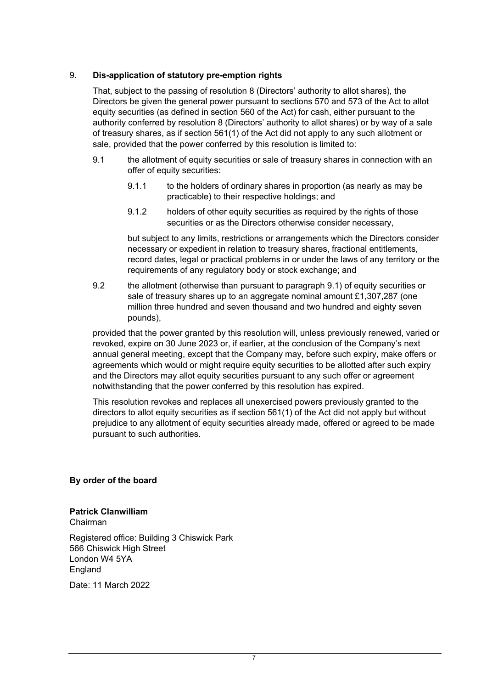## 9. **Dis-application of statutory pre-emption rights**

That, subject to the passing of resolution 8 (Directors' authority to allot shares), the Directors be given the general power pursuant to sections 570 and 573 of the Act to allot equity securities (as defined in section 560 of the Act) for cash, either pursuant to the authority conferred by resolution 8 (Directors' authority to allot shares) or by way of a sale of treasury shares, as if section 561(1) of the Act did not apply to any such allotment or sale, provided that the power conferred by this resolution is limited to:

- <span id="page-6-0"></span>9.1 the allotment of equity securities or sale of treasury shares in connection with an offer of equity securities:
	- 9.1.1 to the holders of ordinary shares in proportion (as nearly as may be practicable) to their respective holdings; and
	- 9.1.2 holders of other equity securities as required by the rights of those securities or as the Directors otherwise consider necessary,

but subject to any limits, restrictions or arrangements which the Directors consider necessary or expedient in relation to treasury shares, fractional entitlements, record dates, legal or practical problems in or under the laws of any territory or the requirements of any regulatory body or stock exchange; and

9.2 the allotment (otherwise than pursuant to paragraph [9.1\)](#page-6-0) of equity securities or sale of treasury shares up to an aggregate nominal amount £1,307,287 (one million three hundred and seven thousand and two hundred and eighty seven pounds),

provided that the power granted by this resolution will, unless previously renewed, varied or revoked, expire on 30 June 2023 or, if earlier, at the conclusion of the Company's next annual general meeting, except that the Company may, before such expiry, make offers or agreements which would or might require equity securities to be allotted after such expiry and the Directors may allot equity securities pursuant to any such offer or agreement notwithstanding that the power conferred by this resolution has expired.

This resolution revokes and replaces all unexercised powers previously granted to the directors to allot equity securities as if section 561(1) of the Act did not apply but without prejudice to any allotment of equity securities already made, offered or agreed to be made pursuant to such authorities.

## **By order of the board**

**Patrick Clanwilliam** Chairman

Registered office: Building 3 Chiswick Park 566 Chiswick High Street London W4 5YA **England** 

Date: 11 March 2022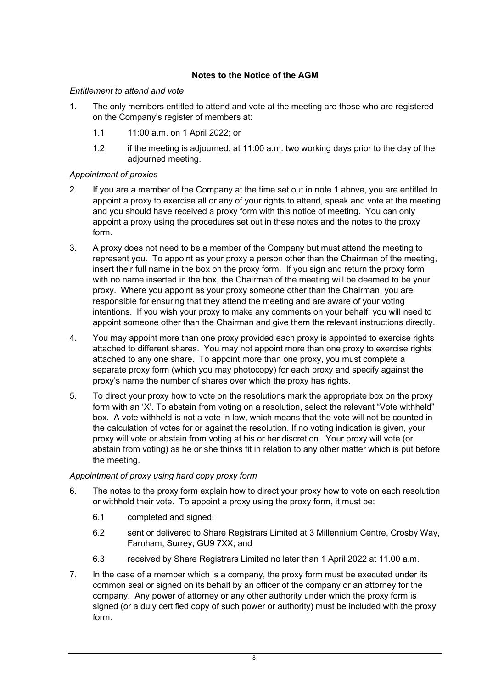## **Notes to the Notice of the AGM**

## <span id="page-7-0"></span>*Entitlement to attend and vote*

- <span id="page-7-1"></span>1. The only members entitled to attend and vote at the meeting are those who are registered on the Company's register of members at:
	- 1.1 11:00 a.m. on 1 April 2022; or
	- 1.2 if the meeting is adjourned, at 11:00 a.m. two working days prior to the day of the adjourned meeting.

## *Appointment of proxies*

- 2. If you are a member of the Company at the time set out in note [1](#page-7-1) above, you are entitled to appoint a proxy to exercise all or any of your rights to attend, speak and vote at the meeting and you should have received a proxy form with this notice of meeting. You can only appoint a proxy using the procedures set out in these notes and the notes to the proxy form.
- <span id="page-7-3"></span>3. A proxy does not need to be a member of the Company but must attend the meeting to represent you. To appoint as your proxy a person other than the Chairman of the meeting, insert their full name in the box on the proxy form. If you sign and return the proxy form with no name inserted in the box, the Chairman of the meeting will be deemed to be your proxy. Where you appoint as your proxy someone other than the Chairman, you are responsible for ensuring that they attend the meeting and are aware of your voting intentions. If you wish your proxy to make any comments on your behalf, you will need to appoint someone other than the Chairman and give them the relevant instructions directly.
- 4. You may appoint more than one proxy provided each proxy is appointed to exercise rights attached to different shares. You may not appoint more than one proxy to exercise rights attached to any one share. To appoint more than one proxy, you must complete a separate proxy form (which you may photocopy) for each proxy and specify against the proxy's name the number of shares over which the proxy has rights.
- 5. To direct your proxy how to vote on the resolutions mark the appropriate box on the proxy form with an 'X'. To abstain from voting on a resolution, select the relevant "Vote withheld" box. A vote withheld is not a vote in law, which means that the vote will not be counted in the calculation of votes for or against the resolution. If no voting indication is given, your proxy will vote or abstain from voting at his or her discretion. Your proxy will vote (or abstain from voting) as he or she thinks fit in relation to any other matter which is put before the meeting.

## *Appointment of proxy using hard copy proxy form*

- <span id="page-7-2"></span>6. The notes to the proxy form explain how to direct your proxy how to vote on each resolution or withhold their vote. To appoint a proxy using the proxy form, it must be:
	- 6.1 completed and signed;
	- 6.2 sent or delivered to Share Registrars Limited at 3 Millennium Centre, Crosby Way, Farnham, Surrey, GU9 7XX; and
	- 6.3 received by Share Registrars Limited no later than 1 April 2022 at 11.00 a.m.
- 7. In the case of a member which is a company, the proxy form must be executed under its common seal or signed on its behalf by an officer of the company or an attorney for the company. Any power of attorney or any other authority under which the proxy form is signed (or a duly certified copy of such power or authority) must be included with the proxy form.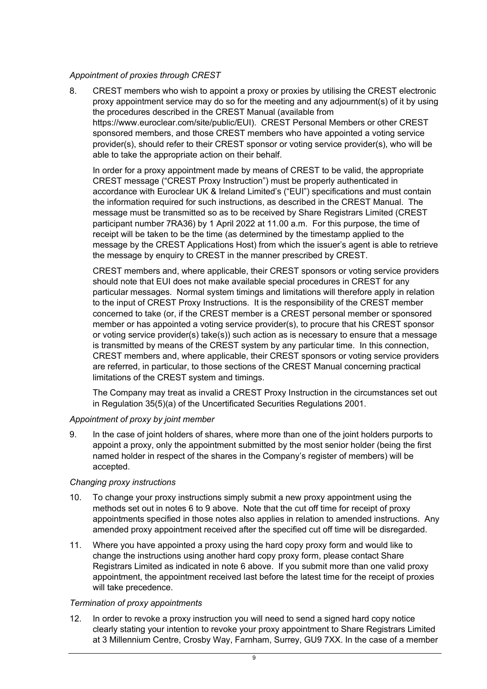## *Appointment of proxies through CREST*

8. CREST members who wish to appoint a proxy or proxies by utilising the CREST electronic proxy appointment service may do so for the meeting and any adjournment(s) of it by using the procedures described in the CREST Manual (available from https://www.euroclear.com/site/public/EUI). CREST Personal Members or other CREST sponsored members, and those CREST members who have appointed a voting service provider(s), should refer to their CREST sponsor or voting service provider(s), who will be able to take the appropriate action on their behalf.

In order for a proxy appointment made by means of CREST to be valid, the appropriate CREST message ("CREST Proxy Instruction") must be properly authenticated in accordance with Euroclear UK & Ireland Limited's ("EUI") specifications and must contain the information required for such instructions, as described in the CREST Manual. The message must be transmitted so as to be received by Share Registrars Limited (CREST participant number 7RA36) by 1 April 2022 at 11.00 a.m. For this purpose, the time of receipt will be taken to be the time (as determined by the timestamp applied to the message by the CREST Applications Host) from which the issuer's agent is able to retrieve the message by enquiry to CREST in the manner prescribed by CREST.

CREST members and, where applicable, their CREST sponsors or voting service providers should note that EUI does not make available special procedures in CREST for any particular messages. Normal system timings and limitations will therefore apply in relation to the input of CREST Proxy Instructions. It is the responsibility of the CREST member concerned to take (or, if the CREST member is a CREST personal member or sponsored member or has appointed a voting service provider(s), to procure that his CREST sponsor or voting service provider(s) take(s)) such action as is necessary to ensure that a message is transmitted by means of the CREST system by any particular time. In this connection, CREST members and, where applicable, their CREST sponsors or voting service providers are referred, in particular, to those sections of the CREST Manual concerning practical limitations of the CREST system and timings.

The Company may treat as invalid a CREST Proxy Instruction in the circumstances set out in Regulation 35(5)(a) of the Uncertificated Securities Regulations 2001.

## *Appointment of proxy by joint member*

<span id="page-8-0"></span>9. In the case of joint holders of shares, where more than one of the joint holders purports to appoint a proxy, only the appointment submitted by the most senior holder (being the first named holder in respect of the shares in the Company's register of members) will be accepted.

## *Changing proxy instructions*

- 10. To change your proxy instructions simply submit a new proxy appointment using the methods set out in notes [6](#page-7-2) to [9](#page-8-0) above. Note that the cut off time for receipt of proxy appointments specified in those notes also applies in relation to amended instructions. Any amended proxy appointment received after the specified cut off time will be disregarded.
- 11. Where you have appointed a proxy using the hard copy proxy form and would like to change the instructions using another hard copy proxy form, please contact Share Registrars Limited as indicated in note [6](#page-7-2) above. If you submit more than one valid proxy appointment, the appointment received last before the latest time for the receipt of proxies will take precedence.

#### *Termination of proxy appointments*

12. In order to revoke a proxy instruction you will need to send a signed hard copy notice clearly stating your intention to revoke your proxy appointment to Share Registrars Limited at 3 Millennium Centre, Crosby Way, Farnham, Surrey, GU9 7XX. In the case of a member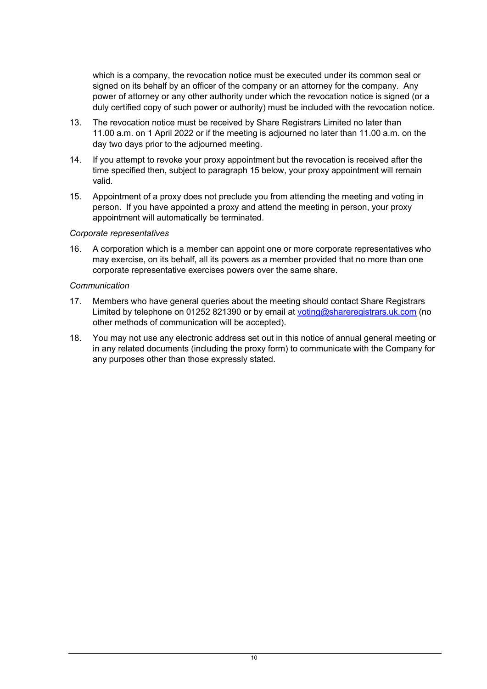which is a company, the revocation notice must be executed under its common seal or signed on its behalf by an officer of the company or an attorney for the company. Any power of attorney or any other authority under which the revocation notice is signed (or a duly certified copy of such power or authority) must be included with the revocation notice.

- 13. The revocation notice must be received by Share Registrars Limited no later than 11.00 a.m. on 1 April 2022 or if the meeting is adjourned no later than 11.00 a.m. on the day two days prior to the adjourned meeting.
- 14. If you attempt to revoke your proxy appointment but the revocation is received after the time specified then, subject to paragraph [15](#page-9-0) below, your proxy appointment will remain valid.
- <span id="page-9-0"></span>15. Appointment of a proxy does not preclude you from attending the meeting and voting in person. If you have appointed a proxy and attend the meeting in person, your proxy appointment will automatically be terminated.

#### *Corporate representatives*

16. A corporation which is a member can appoint one or more corporate representatives who may exercise, on its behalf, all its powers as a member provided that no more than one corporate representative exercises powers over the same share.

#### *Communication*

- 17. Members who have general queries about the meeting should contact Share Registrars Limited by telephone on 01252 821390 or by email at [voting@shareregistrars.uk.com](mailto:voting@shareregistrars.uk.com) (no other methods of communication will be accepted).
- 18. You may not use any electronic address set out in this notice of annual general meeting or in any related documents (including the proxy form) to communicate with the Company for any purposes other than those expressly stated.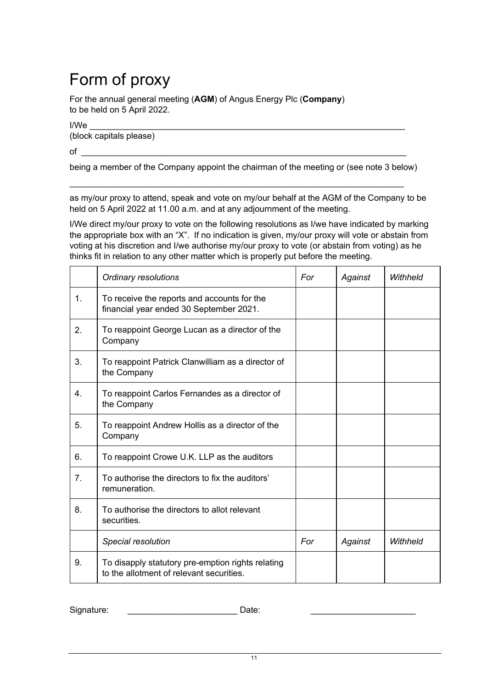# Form of proxy

For the annual general meeting (**AGM**) of Angus Energy Plc (**Company**) to be held on 5 April 2022.

I/We \_\_\_\_\_\_\_\_\_\_\_\_\_\_\_\_\_\_\_\_\_\_\_\_\_\_\_\_\_\_\_\_\_\_\_\_\_\_\_\_\_\_\_\_\_\_\_\_\_\_\_\_\_\_\_\_\_\_\_\_\_\_\_\_\_\_

(block capitals please)

 $\circ$  f

being a member of the Company appoint the chairman of the meeting or (see note [3](#page-7-3) below)

 $\_$  , and the set of the set of the set of the set of the set of the set of the set of the set of the set of the set of the set of the set of the set of the set of the set of the set of the set of the set of the set of th

as my/our proxy to attend, speak and vote on my/our behalf at the AGM of the Company to be held on 5 April 2022 at 11.00 a.m. and at any adjournment of the meeting.

I/We direct my/our proxy to vote on the following resolutions as I/we have indicated by marking the appropriate box with an "X". If no indication is given, my/our proxy will vote or abstain from voting at his discretion and I/we authorise my/our proxy to vote (or abstain from voting) as he thinks fit in relation to any other matter which is properly put before the meeting.

|    | Ordinary resolutions                                                                          | For | Against | Withheld |
|----|-----------------------------------------------------------------------------------------------|-----|---------|----------|
| 1. | To receive the reports and accounts for the<br>financial year ended 30 September 2021.        |     |         |          |
| 2. | To reappoint George Lucan as a director of the<br>Company                                     |     |         |          |
| 3. | To reappoint Patrick Clanwilliam as a director of<br>the Company                              |     |         |          |
| 4. | To reappoint Carlos Fernandes as a director of<br>the Company                                 |     |         |          |
| 5. | To reappoint Andrew Hollis as a director of the<br>Company                                    |     |         |          |
| 6. | To reappoint Crowe U.K. LLP as the auditors                                                   |     |         |          |
| 7. | To authorise the directors to fix the auditors'<br>remuneration.                              |     |         |          |
| 8. | To authorise the directors to allot relevant<br>securities.                                   |     |         |          |
|    | Special resolution                                                                            | For | Against | Withheld |
| 9. | To disapply statutory pre-emption rights relating<br>to the allotment of relevant securities. |     |         |          |

Signature: \_\_\_\_\_\_\_\_\_\_\_\_\_\_\_\_\_\_\_\_\_\_\_\_\_\_\_\_\_\_\_\_\_Date: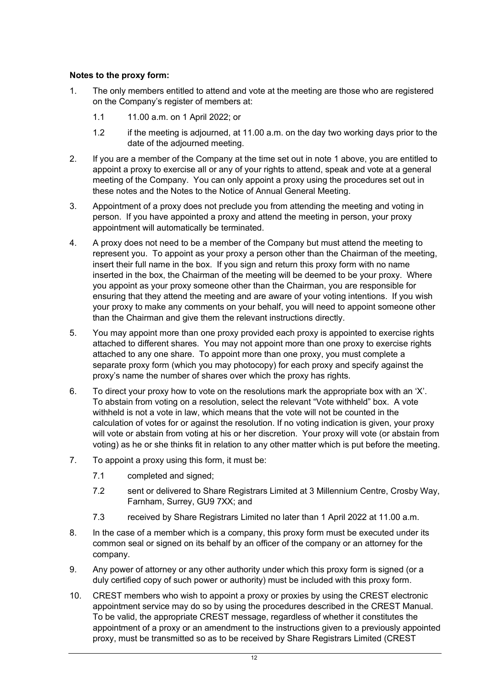## **Notes to the proxy form:**

- 1. The only members entitled to attend and vote at the meeting are those who are registered on the Company's register of members at:
	- 1.1 11.00 a.m. on 1 April 2022; or
	- 1.2 if the meeting is adjourned, at 11.00 a.m. on the day two working days prior to the date of the adjourned meeting.
- 2. If you are a member of the Company at the time set out in note [1](#page-7-1) above, you are entitled to appoint a proxy to exercise all or any of your rights to attend, speak and vote at a general meeting of the Company. You can only appoint a proxy using the procedures set out in these notes and the Notes to the Notice of Annual General Meeting.
- 3. Appointment of a proxy does not preclude you from attending the meeting and voting in person. If you have appointed a proxy and attend the meeting in person, your proxy appointment will automatically be terminated.
- 4. A proxy does not need to be a member of the Company but must attend the meeting to represent you. To appoint as your proxy a person other than the Chairman of the meeting, insert their full name in the box. If you sign and return this proxy form with no name inserted in the box, the Chairman of the meeting will be deemed to be your proxy. Where you appoint as your proxy someone other than the Chairman, you are responsible for ensuring that they attend the meeting and are aware of your voting intentions. If you wish your proxy to make any comments on your behalf, you will need to appoint someone other than the Chairman and give them the relevant instructions directly.
- 5. You may appoint more than one proxy provided each proxy is appointed to exercise rights attached to different shares. You may not appoint more than one proxy to exercise rights attached to any one share. To appoint more than one proxy, you must complete a separate proxy form (which you may photocopy) for each proxy and specify against the proxy's name the number of shares over which the proxy has rights.
- 6. To direct your proxy how to vote on the resolutions mark the appropriate box with an 'X'. To abstain from voting on a resolution, select the relevant "Vote withheld" box. A vote withheld is not a vote in law, which means that the vote will not be counted in the calculation of votes for or against the resolution. If no voting indication is given, your proxy will vote or abstain from voting at his or her discretion. Your proxy will vote (or abstain from voting) as he or she thinks fit in relation to any other matter which is put before the meeting.
- 7. To appoint a proxy using this form, it must be:
	- 7.1 completed and signed;
	- 7.2 sent or delivered to Share Registrars Limited at 3 Millennium Centre, Crosby Way, Farnham, Surrey, GU9 7XX; and
	- 7.3 received by Share Registrars Limited no later than 1 April 2022 at 11.00 a.m.
- 8. In the case of a member which is a company, this proxy form must be executed under its common seal or signed on its behalf by an officer of the company or an attorney for the company.
- 9. Any power of attorney or any other authority under which this proxy form is signed (or a duly certified copy of such power or authority) must be included with this proxy form.
- 10. CREST members who wish to appoint a proxy or proxies by using the CREST electronic appointment service may do so by using the procedures described in the CREST Manual. To be valid, the appropriate CREST message, regardless of whether it constitutes the appointment of a proxy or an amendment to the instructions given to a previously appointed proxy, must be transmitted so as to be received by Share Registrars Limited (CREST